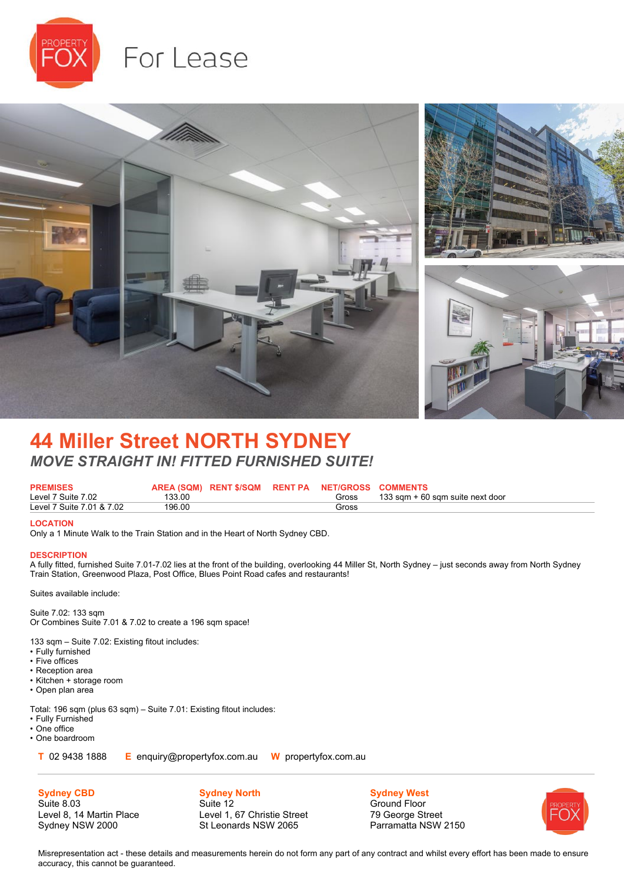

# For Lease



# **44 Miller Street NORTH SYDNEY** *MOVE STRAIGHT IN! FITTED FURNISHED SUITE!*

| <b>PREMISES</b>           |        | AREA (SQM) RENT \$/SQM RENT PA NET/GROSS COMMENTS |       |                                  |
|---------------------------|--------|---------------------------------------------------|-------|----------------------------------|
| Level 7 Suite 7.02        | 133.00 |                                                   | Gross | 133 sam + 60 sam suite next door |
| Level 7 Suite 7.01 & 7.02 | 196.00 |                                                   | Gross |                                  |

#### **LOCATION**

Only a 1 Minute Walk to the Train Station and in the Heart of North Sydney CBD.

#### **DESCRIPTION**

A fully fitted, furnished Suite 7.01-7.02 lies at the front of the building, overlooking 44 Miller St, North Sydney – just seconds away from North Sydney Train Station, Greenwood Plaza, Post Office, Blues Point Road cafes and restaurants!

Suites available include:

Suite 7.02: 133 sqm Or Combines Suite 7.01 & 7.02 to create a 196 sqm space!

133 sqm – Suite 7.02: Existing fitout includes:

- Fully furnished
- Five offices
- Reception area
- Kitchen + storage room
- Open plan area

Total: 196 sqm (plus 63 sqm) – Suite 7.01: Existing fitout includes:

- Fully Furnished
- One office
- One boardroom

**Sydney CBD** Suite 8.03

**T** 02 9438 1888 **E** enquiry@propertyfox.com.au **W** propertyfox.com.au

Level 8, 14 Martin Place Sydney NSW 2000

**Sydney North** Suite 12 Level 1, 67 Christie Street St Leonards NSW 2065

**Sydney West** Ground Floor 79 George Street Parramatta NSW 2150



Misrepresentation act - these details and measurements herein do not form any part of any contract and whilst every effort has been made to ensure accuracy, this cannot be guaranteed.